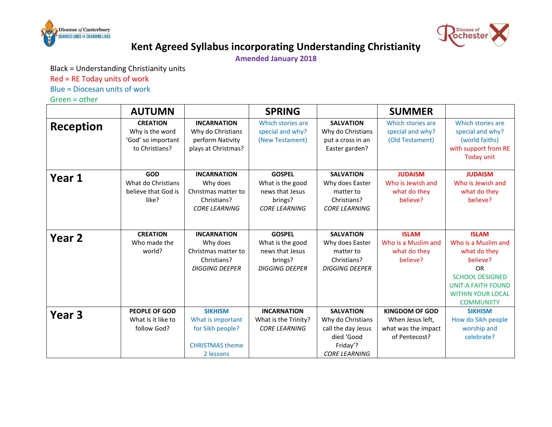



## **Kent Agreed Syllabus incorporating Understanding Christianity**

**Amended January 2018**

Black = Understanding Christianity units

Red = RE Today units of work

Blue = Diocesan units of work

Green = other

|                   | <b>AUTUMN</b>                                                              |                                                                                                | <b>SPRING</b>                                                                            |                                                                                                               | <b>SUMMER</b>                                                                     |                                                                                                                                                                                      |
|-------------------|----------------------------------------------------------------------------|------------------------------------------------------------------------------------------------|------------------------------------------------------------------------------------------|---------------------------------------------------------------------------------------------------------------|-----------------------------------------------------------------------------------|--------------------------------------------------------------------------------------------------------------------------------------------------------------------------------------|
| <b>Reception</b>  | <b>CREATION</b><br>Why is the word<br>'God' so important<br>to Christians? | <b>INCARNATION</b><br>Why do Christians<br>perform Nativity<br>plays at Christmas?             | Which stories are<br>special and why?<br>(New Testament)                                 | <b>SALVATION</b><br>Why do Christians<br>put a cross in an<br>Easter garden?                                  | Which stories are<br>special and why?<br>(Old Testament)                          | Which stories are<br>special and why?<br>(world faiths)<br>with support from RE<br><b>Today unit</b>                                                                                 |
| Year 1            | <b>GOD</b><br>What do Christians<br>believe that God is<br>like?           | <b>INCARNATION</b><br>Why does<br>Christmas matter to<br>Christians?<br><b>CORE LEARNING</b>   | <b>GOSPEL</b><br>What is the good<br>news that Jesus<br>brings?<br><b>CORE LEARNING</b>  | <b>SALVATION</b><br>Why does Easter<br>matter to<br>Christians?<br><b>CORE LEARNING</b>                       | <b>JUDAISM</b><br>Who is Jewish and<br>what do they<br>believe?                   | <b>JUDAISM</b><br>Who is Jewish and<br>what do they<br>believe?                                                                                                                      |
| Year 2            | <b>CREATION</b><br>Who made the<br>world?                                  | <b>INCARNATION</b><br>Why does<br>Christmas matter to<br>Christians?<br><b>DIGGING DEEPER</b>  | <b>GOSPEL</b><br>What is the good<br>news that Jesus<br>brings?<br><b>DIGGING DEEPER</b> | <b>SALVATION</b><br>Why does Easter<br>matter to<br>Christians?<br><b>DIGGING DEEPER</b>                      | <b>ISLAM</b><br>Who is a Muslim and<br>what do they<br>believe?                   | <b>ISLAM</b><br>Who is a Muslim and<br>what do they<br>believe?<br><b>OR</b><br><b>SCHOOL DESIGNED</b><br><b>UNIT:A FAITH FOUND</b><br><b>WITHIN YOUR LOCAL</b><br><b>COMMUNIITY</b> |
| Year <sub>3</sub> | <b>PEOPLE OF GOD</b><br>What is it like to<br>follow God?                  | <b>SIKHISM</b><br>What is important<br>for Sikh people?<br><b>CHRISTMAS theme</b><br>2 lessons | <b>INCARNATION</b><br>What is the Trinity?<br><b>CORE LEARNING</b>                       | <b>SALVATION</b><br>Why do Christians<br>call the day Jesus<br>died 'Good<br>Friday'?<br><b>CORE LEARNING</b> | <b>KINGDOM OF GOD</b><br>When Jesus left,<br>what was the impact<br>of Pentecost? | <b>SIKHISM</b><br>How do Sikh people<br>worship and<br>celebrate?                                                                                                                    |